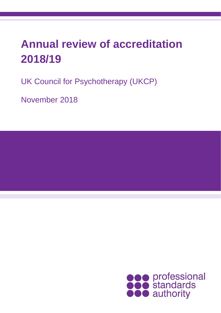# **Annual review of accreditation 2018/19**

UK Council for Psychotherapy (UKCP)

November 2018

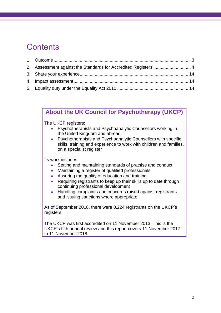## **Contents**

| 2. Assessment against the Standards for Accredited Registers  4 |  |
|-----------------------------------------------------------------|--|
|                                                                 |  |
|                                                                 |  |
|                                                                 |  |

### **About the UK Council for Psychotherapy (UKCP)**

The UKCP registers:

- Psychotherapists and Psychoanalytic Counsellors working in the United Kingdom and abroad
- Psychotherapists and Psychoanalytic Counsellors with specific skills, training and experience to work with children and families, on a specialist register

Its work includes:

- Setting and maintaining standards of practise and conduct
- Maintaining a register of qualified professionals
- Assuring the quality of education and training
- Requiring registrants to keep up their skills up to date through continuing professional development
- Handling complaints and concerns raised against registrants and issuing sanctions where appropriate.

As of September 2018, there were 8,224 registrants on the UKCP's registers.

<span id="page-1-0"></span>The UKCP was first accredited on 11 November 2013. This is the UKCP's fifth annual review and this report covers 11 November 2017 to 11 November 2018.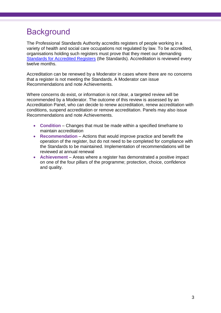## **Background**

The Professional Standards Authority accredits registers of people working in a variety of health and social care occupations not regulated by law. To be accredited, organisations holding such registers must prove that they meet our demanding [Standards for Accredited Registers](https://www.professionalstandards.org.uk/accredited-registers/about-accredited-registers/our-standards) (the Standards). Accreditation is reviewed every twelve months.

Accreditation can be renewed by a Moderator in cases where there are no concerns that a register is not meeting the Standards. A Moderator can issue Recommendations and note Achievements.

Where concerns do exist, or information is not clear, a targeted review will be recommended by a Moderator. The outcome of this review is assessed by an Accreditation Panel, who can decide to renew accreditation, renew accreditation with conditions, suspend accreditation or remove accreditation. Panels may also issue Recommendations and note Achievements.

- **Condition** Changes that must be made within a specified timeframe to maintain accreditation
- **Recommendation**  Actions that would improve practice and benefit the operation of the register, but do not need to be completed for compliance with the Standards to be maintained. Implementation of recommendations will be reviewed at annual renewal
- **Achievement** Areas where a register has demonstrated a positive impact on one of the four pillars of the programme; protection, choice, confidence and quality.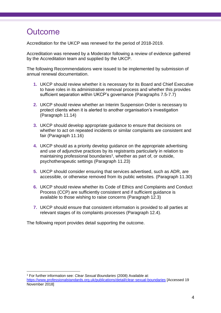## **Outcome**

<span id="page-3-0"></span>1

Accreditation for the UKCP was renewed for the period of 2018-2019.

Accreditation was renewed by a Moderator following a review of evidence gathered by the Accreditation team and supplied by the UKCP.

The following Recommendations were issued to be implemented by submission of annual renewal documentation.

- **1.** UKCP should review whether it is necessary for its Board and Chief Executive to have roles in its administrative removal process and whether this provides sufficient separation within UKCP's governance (Paragraphs [7.5](#page-6-0)[-7.7\)](#page-6-1)
- **2.** UKCP should review whether an Interim Suspension Order is necessary to protect clients when it is alerted to another organisation's investigation (Paragraph 11.14)
- **3.** UKCP should develop appropriate guidance to ensure that decisions on whether to act on repeated incidents or similar complaints are consistent and fair (Paragraph 11.16)
- **4.** UKCP should as a priority develop guidance on the appropriate advertising and use of adjunctive practices by its registrants particularly in relation to maintaining professional boundaries<sup>1</sup>, whether as part of, or outside, psychotherapeutic settings (Paragraph 11.23)
- **5.** UKCP should consider ensuring that services advertised, such as ADR, are accessible, or otherwise removed from its public websites. (Paragraph 11.30)
- **6.** UKCP should review whether its Code of Ethics and Complaints and Conduct Process (CCP) are sufficiently consistent and if sufficient guidance is available to those wishing to raise concerns (Paragraph 12.3)
- **7.** UKCP should ensure that consistent information is provided to all parties at relevant stages of its complaints processes (Paragraph 12.4).

The following report provides detail supporting the outcome.

<sup>1</sup> For further information see: *Clear Sexual Boundaries* (2008) Available at: <https://www.professionalstandards.org.uk/publications/detail/clear-sexual-boundaries> [Accessed 19 November 2018]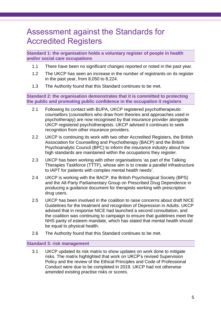### Assessment against the Standards for Accredited Registers

**Standard 1: the organisation holds a voluntary register of people in health and/or social care occupations**

- 1.1 There have been no significant changes reported or noted in the past year.
- 1.2 The UKCP has seen an increase in the number of registrants on its register in the past year, from 8,050 to 8,224.
- 1.3 The Authority found that this Standard continues to be met.

**Standard 2: the organisation demonstrates that it is committed to protecting the public and promoting public confidence in the occupation it registers**

- 2.1 Following its contact with BUPA, UKCP registered psychotherapeutic counsellors (counsellors who draw from theories and approaches used in psychotherapy) are now recognised by that insurance provider alongside UKCP registered psychotherapists. UKCP advised it continues to seek recognition from other insurance providers.
- 2.2 UKCP is continuing its work with two other Accredited Registers, the British Association for Counselling and Psychotherapy (BACP) and the British Psychoanalytic Council (BPC) to inform the insurance industry about how high standards are maintained within the occupations they register.
- 2.3 UKCP has been working with other organisations 'as part of the Talking Therapies Taskforce (TTTF), whose aim is to create a parallel infrastructure to IAPT for patients with complex mental health needs'.
- 2.4 UKCP is working with the BACP, the British Psychological Society (BPS) and the All-Party Parliamentary Group on Prescribed Drug Dependence in producing a guidance document for therapists working with prescription drug users.
- 2.5 UKCP has been involved in the coalition to raise concerns about draft NICE Guidelines for the treatment and recognition of Depression in Adults. UKCP advised that in response NICE had launched a second consultation, and the coalition was continuing to campaign to ensure that guidelines meet the NHS parity of esteem mandate, which has stated that mental health should be equal to physical health.
- 2.6 The Authority found that this Standard continues to be met.

#### **Standard 3: risk management**

3.1 UKCP updated its risk matrix to show updates on work done to mitigate risks. The matrix highlighted that work on UKCP's revised Supervision Policy and the review of the Ethical Principles and Code of Professional Conduct were due to be completed in 2019. UKCP had not otherwise amended existing practise risks or scores.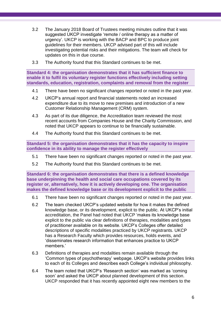- 3.2 The January 2018 Board of Trustees meeting minutes outline that it was suggested UKCP investigate 'remote / online therapy as a matter of urgency'. UKCP is working with the BACP and BPC to produce joint guidelines for their members. UKCP advised part of this will include investigating potential risks and their mitigations. The team will check for updates on this in due course.
- 3.3 The Authority found that this Standard continues to be met.

**Standard 4: the organisation demonstrates that it has sufficient finance to enable it to fulfil its voluntary register functions effectively including setting standards, education, registration, complaints and removal from the register**

- 4.1 There have been no significant changes reported or noted in the past year.
- 4.2 UKCP's annual report and financial statements noted an increased expenditure due to its move to new premises and introduction of a new Customer Relationship Management (CRM) system.
- 4.3 As part of its due diligence, the Accreditation team reviewed the most recent accounts from Companies House and the Charity Commission, and noted that UKCP appears to continue to be financially sustainable.
- 4.4 The Authority found that this Standard continues to be met.

**Standard 5: the organisation demonstrates that it has the capacity to inspire confidence in its ability to manage the register effectively**

- 5.1 There have been no significant changes reported or noted in the past year.
- 5.2 The Authority found that this Standard continues to be met.

**Standard 6: the organisation demonstrates that there is a defined knowledge base underpinning the health and social care occupations covered by its register or, alternatively, how it is actively developing one. The organisation makes the defined knowledge base or its development explicit to the public**

- 6.1 There have been no significant changes reported or noted in the past year.
- 6.2 The team checked UKCP's updated website for how it makes the defined knowledge base, or its development, explicit to the public. At UKCP's initial accreditation, the Panel had noted that UKCP 'makes its knowledge base explicit to the public via clear definitions of therapies, modalities and types of practitioner available on its website. UKCP's Colleges offer detailed descriptions of specific modalities practiced by UKCP registrants. UKCP has a Research Faculty which provides resources, holds events, and 'disseminates research information that enhances practice to UKCP members.'
- 6.3 Definitions of therapies and modalities remain available through the 'Common types of psychotherapy' webpage. UKCP's website provides links to each of its Colleges and describes each College's individual philosophy.
- 6.4 The team noted that UKCP's 'Research section' was marked as 'coming soon' and asked the UKCP about planned development of this section. UKCP responded that it has recently appointed eight new members to the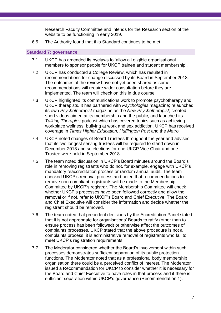Research Faculty Committee and intends for the Research section of the website to be functioning in early 2019.

6.5 The Authority found that this Standard continues to be met.

#### **Standard 7: governance**

- 7.1 UKCP has amended its byelaws to 'allow all eligible organisational members to sponsor people for UKCP trainee and student membership'.
- 7.2 UKCP has conducted a College Review, which has resulted in recommendations for change discussed by its Board in September 2018. The outcomes of the review have not yet been shared as some recommendations will require wider consultation before they are implemented. The team will check on this in due course.
- 7.3 UKCP highlighted its communications work to promote psychotherapy and UKCP therapists. It has partnered with *Psychologies* magazine; relaunched its own *Psychotherapist* magazine as the *New Psychotherapist*; created short videos aimed at its membership and the public; and launched its *Talking Therapies* podcast which has covered topics such as achieving workplace wellness, bullying at work and sex addiction. UKCP has received coverage in *Times Higher Education, Huffington Post* and the *Metro.*
- 7.4 UKCP noted changes of Board Trustees throughout the year and advised that its two longest serving trustees will be required to stand down in December 2018 and so elections for one UKCP Vice Chair and one Trustee were held in September 2018.
- <span id="page-6-0"></span>7.5 The team noted discussion in UKCP's Board minutes around the Board's role in removing registrants who do not, for example, engage with UKCP's mandatory reaccreditation process or random annual audit. The team checked UKCP's removal process and noted that recommendations to remove non-compliant registrants will be made to the Membership Committee by UKCP's registrar. The Membership Committee will check whether UKCP's processes have been followed correctly and allow the removal or if not, refer to UKCP's Board and Chief Executive. The Board and Chief Executive will consider the information and decide whether the registrant should be removed.
- 7.6 The team noted that precedent decisions by the Accreditation Panel stated that it is not appropriate for organisations' Boards to ratify (other than to ensure process has been followed) or otherwise affect the outcomes of complaints processes. UKCP stated that the above procedure is not a complaints process; it is administrative removal of registrants who fail to meet UKCP's registration requirements.
- <span id="page-6-1"></span>7.7 The Moderator considered whether the Board's involvement within such processes demonstrates sufficient separation of its public protection functions. The Moderator noted that as a professional body membership organisation there could be a perceived conflict of interest. The Moderator issued a Recommendation for UKCP to consider whether it is necessary for the Board and Chief Executive to have roles in that process and if there is sufficient separation within UKCP's governance (Recommendation 1).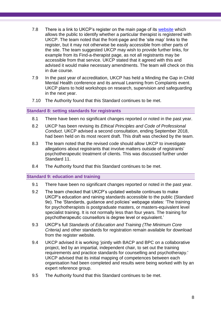- 7.8 There is a link to UKCP's register on the main page of its [website](https://www.psychotherapy.org.uk/) which allows the public to identify whether a particular therapist is registered with UKCP. The team noted that the front-page and the 'site map' links to the register, but it may not otherwise be easily accessible from other parts of the site. The team suggested UKCP may wish to provide further links, for example from its Find-a-therapist page, as not all registrants may be accessible from that service. UKCP stated that it agreed with this and advised it would make necessary amendments. The team will check on this in due course.
- 7.9 In the past year of accreditation, UKCP has held a Minding the Gap in Child Mental Health conference and its annual Learning from Complaints event. UKCP plans to hold workshops on research, supervision and safeguarding in the next year.
- 7.10 The Authority found that this Standard continues to be met.

#### **Standard 8: setting standards for registrants**

- 8.1 There have been no significant changes reported or noted in the past year.
- 8.2 UKCP has been revising its *Ethical Principles and Code of Professional Conduct*. UKCP advised a second consultation, ending September 2018, had been held on its most recent draft. This draft was checked by the team.
- 8.3 The team noted that the revised code should allow UKCP to investigate allegations about registrants that involve matters outside of registrants' psychotherapeutic treatment of clients. This was discussed further under Standard 11.
- 8.4 The Authority found that this Standard continues to be met.

#### **Standard 9: education and training**

- 9.1 There have been no significant changes reported or noted in the past year.
- 9.2 The team checked that UKCP's updated website continues to make UKCP's education and raining standards accessible to the public (Standard 9e). The 'Standards, guidance and policies' webpage states: 'The training for psychotherapists is postgraduate masters, or masters-equivalent level specialist training. It is not normally less than four years. The training for psychotherapeutic counsellors is degree level or equivalent.'
- 9.3 UKCP's full *Standards of Education and Training (The Minimum Core Criteria)* and other standards for registration remain available for download from the register website.
- 9.4 UKCP advised it is working 'jointly with BACP and BPC on a collaborative project, led by an impartial, independent chair, to set out the training requirements and practice standards for counselling and psychotherapy.' UKCP advised that its initial mapping of competences between each organisation had been completed and results were being worked with by an expert reference group.
- 9.5 The Authority found that this Standard continues to be met.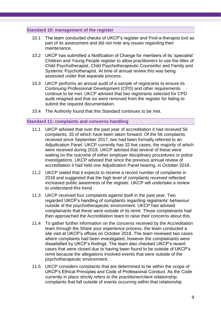#### **Standard 10: management of the register**

- 10.1 The team conducted checks of UKCP's register and Find-a-therapist tool as part of its assessment and did not note any issues regarding their maintenance.
- 10.2 UKCP has submitted a Notification of Change for members of its 'specialist' Children and Young People register to allow practitioners to use the titles of Child Psychotherapist, Child Psychotherapeutic Counsellor and Family and Systemic Psychotherapist. At time of annual review this was being assessed under that separate process.
- 10.3 UKCP performs an annual audit of a sample of registrants to ensure its Continuing Professional Development (CPD) and other requirements continue to be met. UKCP advised that two registrants selected for CPD audit resigned and that six were removed from the register for failing to submit the required documentation.
- 10.4 The Authority found that this Standard continues to be met.

#### **Standard 11: complaints and concerns handling**

- 11.1 UKCP advised that over the past year of accreditation it had received 56 complaints, 35 of which have been taken forward. Of the 56 complaints received since September 2017, two had been formally referred to an Adjudication Panel. UKCP currently has 32 live cases, the majority of which were received during 2018. UKCP advised that several of these were waiting on the outcome of either employer disciplinary procedures or police investigations. UKCP advised that since the previous annual review of accreditation it had held one Adjudication Panel hearing, in October 2018.
- 11.2 UKCP stated that it expects to receive a record number of complaints in 2018 and suggested that the high level of complaints received reflected increased public awareness of the register. UKCP will undertake a review to understand this trend.
- 11.3 UKCP received four complaints against itself in the past year. Two regarded UKCP's handling of complaints regarding registrants' behaviour outside of the psychotherapeutic environment. UKCP had advised complainants that these were outside of its remit. Those complainants had then approached the Accreditation team to raise their concerns about this.
- 11.4 To gather further information on the concerns received by the Accreditation team through the Share your experience process, the team conducted a site visit at UKCP's offices on October 2018. The team reviewed two cases where complaints had been investigated, however the complainants were dissatisfied by UKCP's findings. The team also checked UKCP's recent cases that were closed due to having been found to be outside of UKCP's remit because the allegations involved events that were outside of the psychotherapeutic environment.
- 11.5 UKCP considers complaints that are determined to be within the scope of UKCP's Ethical Principles and Code of Professional Conduct. As the Code currently in place strictly refers to the practitioner/client relationship, complaints that fall outside of events occurring within that relationship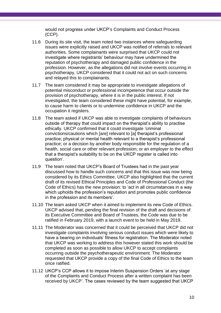would not progress under UKCP's Complaints and Conduct Process (CCP).

- 11.6 During its site visit, the team noted two instances where safeguarding issues were explicitly raised and UKCP was notified of referrals to relevant authorities. Some complainants were surprised that UKCP could not investigate where registrants' behaviour may have undermined the reputation of psychotherapy and damaged public confidence in the profession. However, as the allegations did not involve events occurring in psychotherapy, UKCP considered that it could not act on such concerns and relayed this to complainants.
- 11.7 The team considered it may be appropriate to investigate allegations of potential misconduct or professional incompetence that occur outside the provision of psychotherapy, where it is in the public interest. If not investigated, the team considered these might have potential, for example, to cause harm to clients or to undermine confidence in UKCP and the occupation it registers.
- 11.8 The team asked if UKCP was able to investigate complaints of behaviours outside of therapy that could impact on the therapist's ability to practise ethically. UKCP confirmed that it could investigate 'criminal convictions/cautions which [are] relevant to [a] therapist's professional practice; physical or mental health relevant to a therapist's professional practice; or a decision by another body responsible for the regulation of a health, social care or other relevant profession; or an employer to the effect that a therapist's suitability to be on the UKCP register is called into question'.
- 11.9 The team noted that UKCP's Board of Trustees had in the past year discussed how to handle such concerns and that this issue was now being considered by its Ethics Committee. UKCP also highlighted that the current draft of its revised Ethical Principles and Code of Professional Conduct (the Code of Ethics) has the new provision: to 'act in all circumstances in a way which upholds the profession's reputation and promotes public confidence in the profession and its members'.
- 11.10 The team asked UKCP when it aimed to implement its new Code of Ethics. UKCP advised that, pending the final revision of the draft and decisions of its Executive Committee and Board of Trustees, the Code was due to be ratified in February 2019, with a launch event to be held in May 2019.
- 11.11 The Moderator was concerned that it could be perceived that UKCP did not investigate complaints involving serious conduct issues which were likely to have a bearing on individuals' fitness for registration. The Moderator noted that UKCP was working to address this however stated this work should be completed as soon as possible to allow UKCP to accept complaints occurring outside the psychotherapeutic environment. The Moderator requested that UKCP provide a copy of the final Code of Ethics to the team once ratified.
- 11.12 UKCP's CCP allows it to impose Interim Suspension Orders 'at any stage of the Complaints and Conduct Process after a written complaint has been received by UKCP'. The cases reviewed by the team suggested that UKCP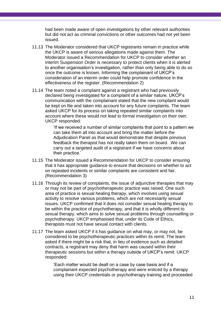had been made aware of open investigations by other relevant authorities but did not act as criminal convictions or other outcomes had not yet been issued.

- 11.13 The Moderator considered that UKCP registrants remain in practice while the UKCP is aware of serious allegations made against them. The Moderator issued a Recommendation for UKCP to consider whether an Interim Suspension Order is necessary to protect clients when it is alerted to another organisation's investigation, rather than only being able to do so once the outcome is known. Informing the complainant of UKCP's consideration of an interim order could help promote confidence in the effectiveness of the register. (Recommendation 2)
- 11.14 The team noted a complaint against a registrant who had previously declared being investigated for a complaint of a similar nature. UKCP's communication with the complainant stated that the new complaint would be kept on file and taken into account for any future complaints. The team asked UKCP for its process on taking repeated similar complaints into account where these would not lead to formal investigation on their own. UKCP responded:

'If we received a number of similar complaints that point to a pattern we can take them all into account and bring the matter before the Adjudication Panel as that would demonstrate that despite previous feedback the therapist has not really taken them on board. We can carry out a targeted audit of a registrant if we have concerns about their practice.'

- 11.15 The Moderator issued a Recommendation for UKCP to consider ensuring that it has appropriate guidance to ensure that decisions on whether to act on repeated incidents or similar complaints are consistent and fair. (Recommendation 3)
- 11.16 Through its review of complaints, the issue of adjunctive therapies that may or may not be part of psychotherapeutic practice was raised. One such area of practice is sexual healing therapy, which involves using sexual activity to resolve various problems, which are not necessarily sexual issues. UKCP confirmed that it does not consider sexual healing therapy to be within the practice of psychotherapy, and that it is wholly different to sexual therapy, which aims to solve sexual problems through counselling or psychotherapy. UKCP emphasised that, under its Code of Ethics, therapists must not have sexual contact with clients.
- 11.17 The team asked UKCP if it has guidance on what may, or may not, be considered to be psychotherapeutic practices within its remit. The team asked if there might be a risk that, in lieu of evidence such as detailed contracts, a registrant may deny that harm was caused within their therapeutic sessions but within a therapy outside of UKCP's remit. UKCP responded:

'Each matter would be dealt on a case by case basis and if a complainant expected psychotherapy and were enticed by a therapy using their UKCP credentials or psychotherapy training and proceeded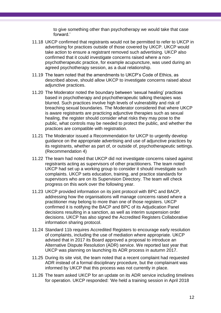to give something other than psychotherapy we would take that case forward.'

- 11.18 UKCP confirmed that registrants would not be permitted to refer to UKCP in advertising for practices outside of those covered by UKCP. UKCP would take action to ensure a registrant removed such advertising. UKCP also confirmed that it could investigate concerns raised where a nonpsychotherapeutic practice, for example acupuncture, was used during an agreed psychotherapy session, as a dual relationship.
- 11.19 The team noted that the amendments to UKCP's Code of Ethics, as described above, should allow UKCP to investigate concerns raised about adjunctive practices.
- 11.20 The Moderator noted the boundary between 'sexual healing' practices based in psychotherapy and psychotherapeutic talking therapies was blurred. Such practices involve high levels of vulnerability and risk of breaching sexual boundaries. The Moderator considered that where UKCP is aware registrants are practicing adjunctive therapies such as sexual healing, the register should consider what risks they may pose to the public, what controls may be needed to protect the public, and whether the practices are compatible with registration.
- 11.21 The Moderator issued a Recommendation for UKCP to urgently develop guidance on the appropriate advertising and use of adjunctive practices by its registrants, whether as part of, or outside of, psychotherapeutic settings. (Recommendation 4)
- 11.22 The team had noted that UKCP did not investigate concerns raised against registrants acting as supervisors of other practitioners. The team noted UKCP had set up a working group to consider it should investigate such complaints. UKCP sets education, training, and practice standards for supervisors who are on its Supervision Directory. The team will check progress on this work over the following year.
- 11.23 UKCP provided information on its joint protocol with BPC and BACP, addressing how the organisations will manage concerns raised where a practitioner may belong to more than one of those registers. UKCP confirmed it is notifying the BACP and BPC of its Adjudication Panel decisions resulting in a sanction, as well as interim suspension order decisions. UKCP has also signed the Accredited Registers Collaborative information sharing protocol.
- 11.24 Standard 11b requires Accredited Registers to encourage early resolution of complaints, including the use of mediation where appropriate. UKCP advised that in 2017 its Board approved a proposal to introduce an Alternative Dispute Resolution (ADR) service. We reported last year that UKCP was planning on launching its ADR process in autumn 2017.
- 11.25 During its site visit, the team noted that a recent complaint had requested ADR instead of a formal disciplinary procedure, but the complainant was informed by UKCP that this process was not currently in place.
- 11.26 The team asked UKCP for an update on its ADR service including timelines for operation. UKCP responded: 'We held a training session in April 2018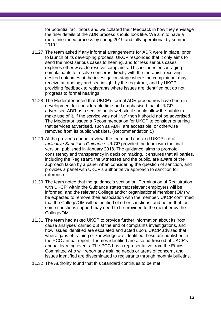for potential facilitators and we collated their feedback in how they envisage the finer details of the ADR process should look like. We aim to have a more fine-tuned process by spring 2019 and fully operational by summer 2019.'

- 11.27 The team asked if any informal arrangements for ADR were in place, prior to launch of its developing process. UKCP responded that it only aims to send the most serious cases to hearing, and for less serious cases explores other ways to resolve complaints. This includes encouraging complainants to resolve concerns directly with the therapist, receiving desired outcomes at the investigation stage where the complainant may receive an apology and see insight by the registrant, and by UKCP providing feedback to registrants where issues are identified but do not progress to formal hearings.
- 11.28 The Moderator noted that UKCP's formal ADR procedures have been in development for considerable time and emphasised that if UKCP advertised ADR as a service on its website it should allow the public to make use of it. If the service was not 'live' then it should not be advertised. The Moderator issued a Recommendation for UKCP to consider ensuring that services advertised, such as ADR, are accessible, or otherwise removed from its public websites. (Recommendation 5)
- 11.29 At the previous annual review, the team had checked UKCP's draft *Indicative Sanctions Guidance.* UKCP provided the team with the final version, published in January 2018. The guidance 'aims to promote consistency and transparency in decision making. It ensures that all parties, including the Registrant, the witnesses and the public, are aware of the approach taken by a panel when considering the question of sanction, and provides a panel with UKCP's authoritative approach to sanction for reference.'
- 11.30 The team noted that the guidance's section on 'Termination of Registration with UKCP' within the Guidance states that relevant employers will be informed, and the relevant College and/or organisational member (OM) will be expected to remove their association with the member. UKCP confirmed that the College/OM will be notified of other sanctions, and noted that for some sanctions support may need to be provided to the member by the College/OM.
- 11.31 The team had asked UKCP to provide further information about its 'root cause analyses' carried out at the end of complaints investigations, and how issues identified are escalated and acted upon. UKCP advised that where gaps of training or knowledge are identified these are published in the PCC annual report. Themes identified are also addressed at UKCP's annual learning events. The PCC has a representative from the Ethics Committee who will report any training needs or areas of concern, and issues identified are disseminated to registrants through monthly bulletins.
- 11.32 The Authority found that this Standard continues to be met.